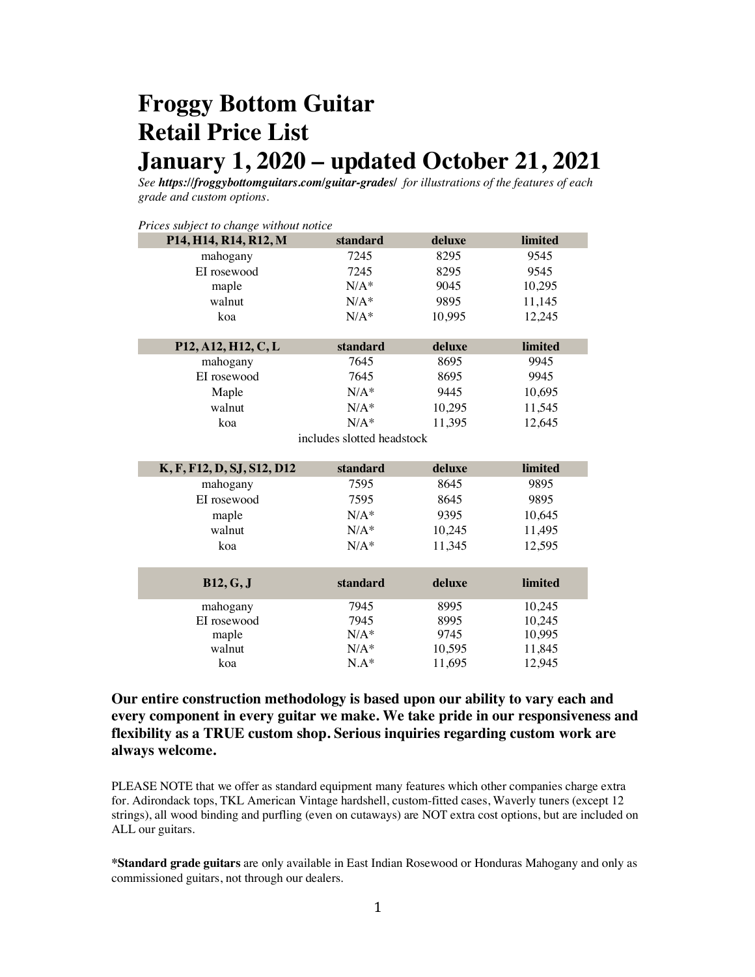# **Froggy Bottom Guitar Retail Price List January 1, 2020 – updated October 21, 2021**

*See https://froggybottomguitars.com/guitar-grades/ for illustrations of the features of each grade and custom options.* 

| Prices subject to change without notice |                            |        |         |
|-----------------------------------------|----------------------------|--------|---------|
| P14, H14, R14, R12, M                   | standard                   | deluxe | limited |
| mahogany                                | 7245                       | 8295   | 9545    |
| EI rosewood                             | 7245                       | 8295   | 9545    |
| maple                                   | $N/A^*$                    | 9045   | 10,295  |
| walnut                                  | $N/A^*$                    | 9895   | 11,145  |
| koa                                     | $N/A^*$                    | 10,995 | 12,245  |
|                                         |                            |        |         |
| P12, A12, H12, C, L                     | standard                   | deluxe | limited |
| mahogany                                | 7645                       | 8695   | 9945    |
| EI rosewood                             | 7645                       | 8695   | 9945    |
| Maple                                   | $N/A^*$                    | 9445   | 10,695  |
| walnut                                  | $N/A^*$                    | 10,295 | 11,545  |
| koa                                     | $N/A^*$                    | 11,395 | 12,645  |
|                                         | includes slotted headstock |        |         |
|                                         |                            |        |         |
| K, F, F12, D, SJ, S12, D12              | standard                   | deluxe | limited |
| mahogany                                | 7595                       | 8645   | 9895    |
|                                         |                            |        |         |
| EI rosewood                             | 7595                       | 8645   | 9895    |
|                                         | $N/A^*$                    | 9395   | 10,645  |
| maple<br>walnut                         | $N/A^*$                    | 10,245 | 11,495  |
| koa                                     | $N/A^*$                    | 11,345 | 12,595  |
|                                         |                            |        |         |
|                                         |                            |        |         |
| <b>B12, G, J</b>                        | standard                   | deluxe | limited |
| mahogany                                | 7945                       | 8995   | 10,245  |
| EI rosewood                             | 7945                       | 8995   | 10,245  |
| maple                                   | $N/A^*$                    | 9745   | 10,995  |
| walnut                                  | $N/A^*$                    | 10,595 | 11,845  |

**Our entire construction methodology is based upon our ability to vary each and every component in every guitar we make. We take pride in our responsiveness and flexibility as a TRUE custom shop. Serious inquiries regarding custom work are always welcome.** 

PLEASE NOTE that we offer as standard equipment many features which other companies charge extra for. Adirondack tops, TKL American Vintage hardshell, custom-fitted cases, Waverly tuners (except 12 strings), all wood binding and purfling (even on cutaways) are NOT extra cost options, but are included on ALL our guitars.

**\*Standard grade guitars** are only available in East Indian Rosewood or Honduras Mahogany and only as commissioned guitars, not through our dealers.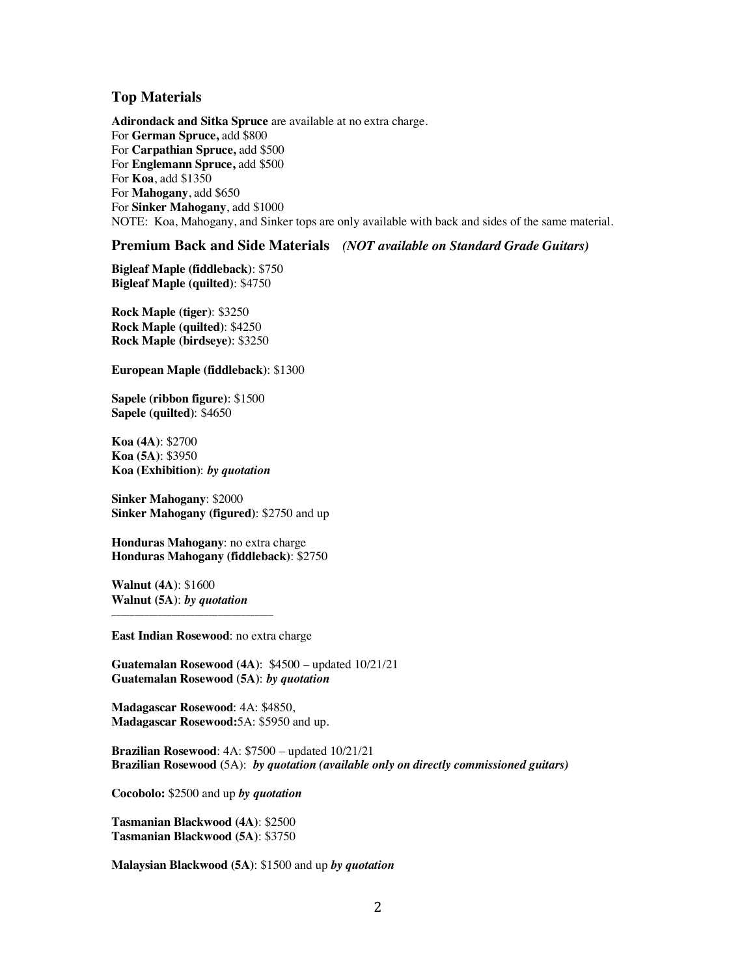### **Top Materials**

**Adirondack and Sitka Spruce** are available at no extra charge. For **German Spruce,** add \$800 For **Carpathian Spruce,** add \$500 For **Englemann Spruce,** add \$500 For **Koa**, add \$1350 For **Mahogany**, add \$650 For **Sinker Mahogany**, add \$1000 NOTE: Koa, Mahogany, and Sinker tops are only available with back and sides of the same material.

### **Premium Back and Side Materials** *(NOT available on Standard Grade Guitars)*

**Bigleaf Maple (fiddleback)**: \$750 **Bigleaf Maple (quilted)**: \$4750

**Rock Maple (tiger)**: \$3250 **Rock Maple (quilted)**: \$4250 **Rock Maple (birdseye)**: \$3250

**European Maple (fiddleback)**: \$1300

**Sapele (ribbon figure)**: \$1500 **Sapele (quilted)**: \$4650

**Koa (4A)**: \$2700 **Koa (5A)**: \$3950 **Koa (Exhibition)**: *by quotation*

**Sinker Mahogany**: \$2000 **Sinker Mahogany (figured)**: \$2750 and up

**Honduras Mahogany**: no extra charge **Honduras Mahogany (fiddleback)**: \$2750

**Walnut (4A)**: \$1600 **Walnut (5A)**: *by quotation*

**\_\_\_\_\_\_\_\_\_\_\_\_\_\_\_\_\_\_\_\_\_\_\_\_\_\_\_\_\_\_\_\_\_\_\_**

**East Indian Rosewood**: no extra charge

**Guatemalan Rosewood (4A)**: \$4500 – updated 10/21/21 **Guatemalan Rosewood (5A)**: *by quotation*

**Madagascar Rosewood**: 4A: \$4850, **Madagascar Rosewood:**5A: \$5950 and up.

**Brazilian Rosewood**: 4A: \$7500 – updated 10/21/21 **Brazilian Rosewood (**5A): *by quotation (available only on directly commissioned guitars)*

**Cocobolo:** \$2500 and up *by quotation*

**Tasmanian Blackwood (4A)**: \$2500 **Tasmanian Blackwood (5A)**: \$3750

**Malaysian Blackwood (5A)**: \$1500 and up *by quotation*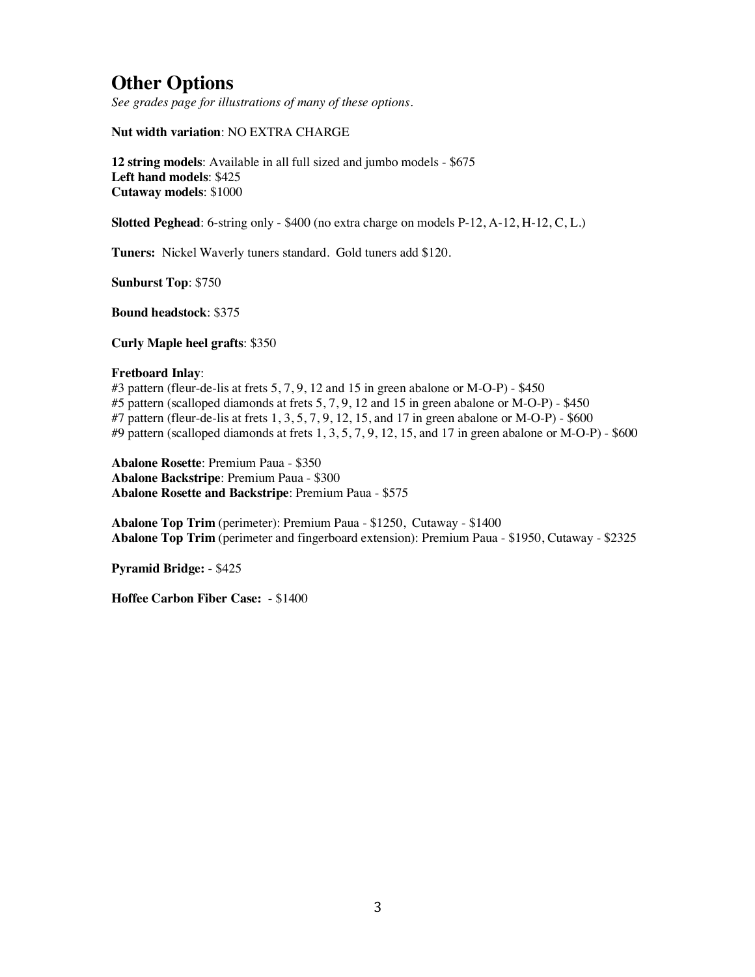# **Other Options**

*See grades page for illustrations of many of these options.*

**Nut width variation**: NO EXTRA CHARGE

**12 string models**: Available in all full sized and jumbo models - \$675 **Left hand models**: \$425 **Cutaway models**: \$1000

**Slotted Peghead**: 6-string only - \$400 (no extra charge on models P-12, A-12, H-12, C, L.)

**Tuners:** Nickel Waverly tuners standard. Gold tuners add \$120.

**Sunburst Top**: \$750

**Bound headstock**: \$375

**Curly Maple heel grafts**: \$350

#### **Fretboard Inlay**:

#3 pattern (fleur-de-lis at frets 5, 7, 9, 12 and 15 in green abalone or M-O-P) - \$450 #5 pattern (scalloped diamonds at frets 5, 7, 9, 12 and 15 in green abalone or M-O-P) - \$450 #7 pattern (fleur-de-lis at frets 1, 3, 5, 7, 9, 12, 15, and 17 in green abalone or M-O-P) - \$600 #9 pattern (scalloped diamonds at frets 1, 3, 5, 7, 9, 12, 15, and 17 in green abalone or M-O-P) - \$600

**Abalone Rosette**: Premium Paua - \$350 **Abalone Backstripe**: Premium Paua - \$300 **Abalone Rosette and Backstripe**: Premium Paua - \$575

**Abalone Top Trim** (perimeter): Premium Paua - \$1250, Cutaway - \$1400 **Abalone Top Trim** (perimeter and fingerboard extension): Premium Paua - \$1950, Cutaway - \$2325

**Pyramid Bridge:** - \$425

**Hoffee Carbon Fiber Case:** - \$1400